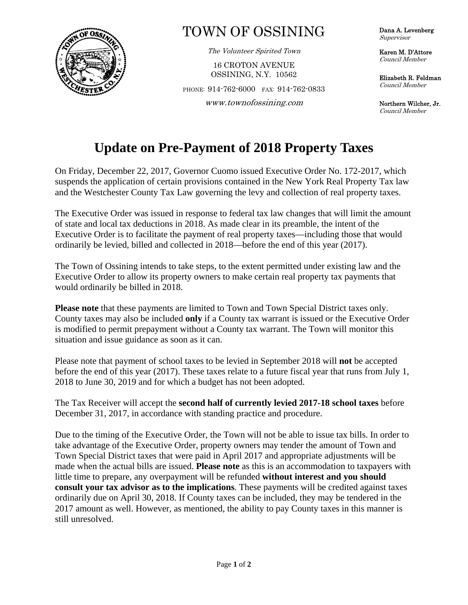

## TOWN OF OSSINING

The Volunteer Spirited Town

16 CROTON AVENUE OSSINING, N.Y. 10562

PHONE: 914-762-6000 FAX: 914-762-0833

**OS**  www.townofossining.com

Dana A. Levenberg Supervisor

Karen M. D'Attore Council Member

Elizabeth R. Feldman Council Member

Northern Wilcher, Jr. Council Member

## **Update on Pre-Payment of 2018 Property Taxes**

On Friday, December 22, 2017, Governor Cuomo issued Executive Order No. 172-2017, which suspends the application of certain provisions contained in the New York Real Property Tax law and the Westchester County Tax Law governing the levy and collection of real property taxes.

The Executive Order was issued in response to federal tax law changes that will limit the amount of state and local tax deductions in 2018. As made clear in its preamble, the intent of the Executive Order is to facilitate the payment of real property taxes—including those that would ordinarily be levied, billed and collected in 2018—before the end of this year (2017).

The Town of Ossining intends to take steps, to the extent permitted under existing law and the Executive Order to allow its property owners to make certain real property tax payments that would ordinarily be billed in 2018.

**Please note** that these payments are limited to Town and Town Special District taxes only. County taxes may also be included **only** if a County tax warrant is issued or the Executive Order is modified to permit prepayment without a County tax warrant. The Town will monitor this situation and issue guidance as soon as it can.

Please note that payment of school taxes to be levied in September 2018 will **not** be accepted before the end of this year (2017). These taxes relate to a future fiscal year that runs from July 1, 2018 to June 30, 2019 and for which a budget has not been adopted.

The Tax Receiver will accept the **second half of currently levied 2017-18 school taxes** before December 31, 2017, in accordance with standing practice and procedure.

Due to the timing of the Executive Order, the Town will not be able to issue tax bills. In order to take advantage of the Executive Order, property owners may tender the amount of Town and Town Special District taxes that were paid in April 2017 and appropriate adjustments will be made when the actual bills are issued. **Please note** as this is an accommodation to taxpayers with little time to prepare, any overpayment will be refunded **without interest and you should consult your tax advisor as to the implications**. These payments will be credited against taxes ordinarily due on April 30, 2018. If County taxes can be included, they may be tendered in the 2017 amount as well. However, as mentioned, the ability to pay County taxes in this manner is still unresolved.